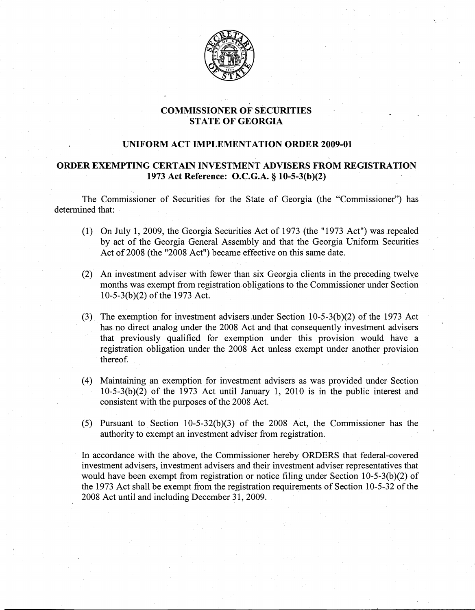

## COMMISSIONER OF SECURITIES STATE OF GEORGIA

## UNIFORM ACT IMPLEMENTATION ORDER 2009-01

## ORDER EXEMPTING CERTAIN INVESTMENT ADVISERS FROM REGISTRATION 1973 Act Reference: O.C.G.A. § 10-5-3(b)(2)

The Commissioner of Securities for the State of Georgia (the "Commissioner") has determined that:

- (1) On July 1, 2009, the Georgia Securities Act of 1973 (the "1973 Act") was repealed by act of the Georgia General Assembly and that the Georgia Uniform Securities Act of 2008 (the "2008 Act") became effective on this same date.
- $(2)$  An investment adviser with fewer than six Georgia clients in the preceding twelve months was exempt from registration, obligations to the Commissioner under Section  $10-5-3(b)(2)$  of the 1973 Act.
- (3). The exemption for investment advisers under Section 10-5-3(b)(2) of the 1973 Act has no direct analog under the 2008 Act and that consequently investment advisers that previously qualified for exemption under this provision would have a registration obligation under the 2008 Act unless exempt under another provision thereof.
- (4) Maintaining an exemption for investment advisers as was provided under Section 10-5-3(b)(2) of the 1973 Act until January 1, 2010 is in the public interest and consistent with the purposes of the 2008 Act.
- (5) Pursuant to Section  $10-5-32(b)(3)$  of the 2008 Act, the Commissioner has the authority to exempt an investment adviser from registration.

In accordance with the above, the Commissioner hereby ORDERS that federal-covered investment advisers, investment advisers and their investment adviser representatives that would have been exempt from registration or notice filing under Section  $10-5-3(b)(2)$  of the 1973 Act shall be exempt from the registration requirements of Section 10-5-32 of the 2008 Act until and including December 31, 2009.